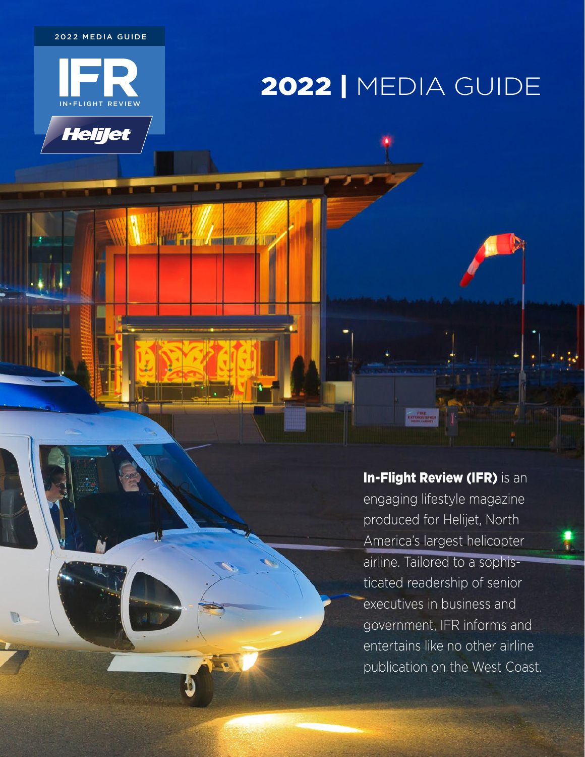2022 MEDIA GUIDE



**Helijet** 

**Vi** 

**TALLET ET ST** 

**MARINE 1999** 

# 2022 | MEDIA GUIDE

In-Flight Review (IFR) is an engaging lifestyle magazine produced for Helijet, North America's largest helicopter airline. Tailored to a sophisticated readership of senior executives in business and government, IFR informs and entertains like no other airline

publication on the West Coast.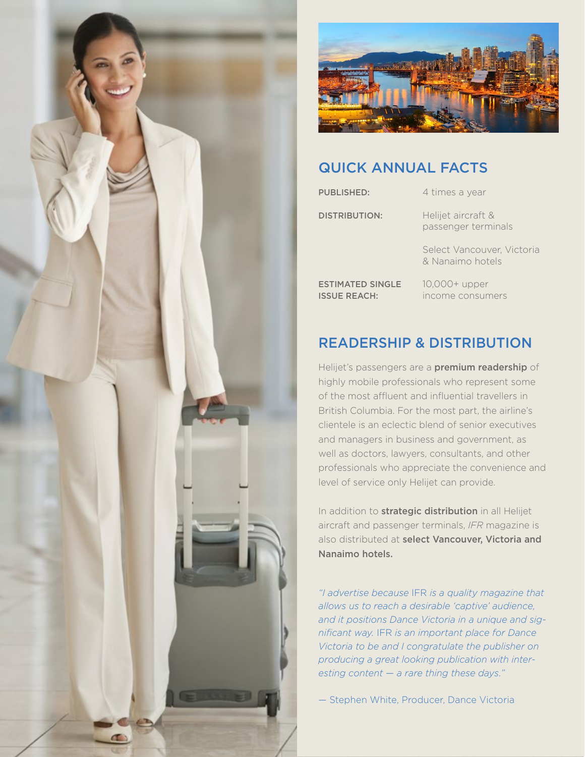



### QUICK ANNUAL FACTS

**PUBLISHED:** 4 times a year DISTRIBUTION: Helijet aircraft & passenger terminals Select Vancouver, Victoria & Nanaimo hotels

ESTIMATED SINGLE 10,000+ upper

ISSUE REACH: income consumers

## READERSHIP & DISTRIBUTION

Helijet's passengers are a premium readership of highly mobile professionals who represent some of the most affluent and influential travellers in British Columbia. For the most part, the airline's clientele is an eclectic blend of senior executives and managers in business and government, as well as doctors, lawyers, consultants, and other professionals who appreciate the convenience and level of service only Helijet can provide.

In addition to **strategic distribution** in all Helijet aircraft and passenger terminals, *IFR* magazine is also distributed at select Vancouver, Victoria and Nanaimo hotels.

*"I advertise because* IFR *is a quality magazine that allows us to reach a desirable 'captive' audience, and it positions Dance Victoria in a unique and significant way.* IFR *is an important place for Dance Victoria to be and I congratulate the publisher on producing a great looking publication with interesting content — a rare thing these days."*

— Stephen White, Producer, Dance Victoria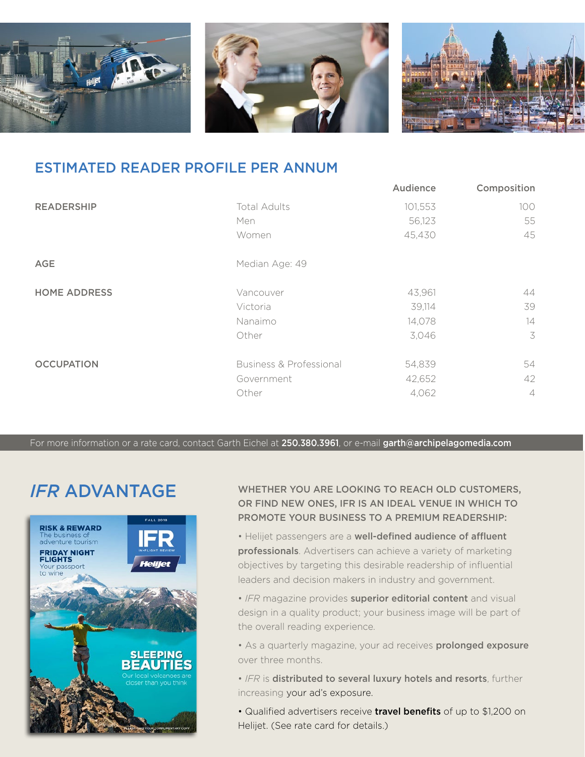

#### ESTIMATED READER PROFILE PER ANNUM

|                     |                         | Audience | Composition    |
|---------------------|-------------------------|----------|----------------|
| <b>READERSHIP</b>   | <b>Total Adults</b>     | 101,553  | 100            |
|                     | Men                     | 56,123   | 55             |
|                     | Women                   | 45,430   | 45             |
| <b>AGE</b>          | Median Age: 49          |          |                |
| <b>HOME ADDRESS</b> | Vancouver               | 43,961   | 44             |
|                     | Victoria                | 39,114   | 39             |
|                     | Nanaimo                 | 14,078   | 14             |
|                     | Other                   | 3,046    | 3              |
| <b>OCCUPATION</b>   | Business & Professional | 54,839   | 54             |
|                     | Government              | 42,652   | 42             |
|                     | Other                   | 4,062    | $\overline{4}$ |

For more information or a rate card, contact Garth Eichel at 250.380.3961, or e-mail garth@archipelagomedia.com

# *IFR* ADVANTAGE



WHETHER YOU ARE LOOKING TO REACH OLD CUSTOMERS, OR FIND NEW ONES, IFR IS AN IDEAL VENUE IN WHICH TO PROMOTE YOUR BUSINESS TO A PREMIUM READERSHIP:

• Helijet passengers are a well-defined audience of affluent professionals. Advertisers can achieve a variety of marketing objectives by targeting this desirable readership of influential leaders and decision makers in industry and government.

• *IFR* magazine provides superior editorial content and visual design in a quality product; your business image will be part of the overall reading experience.

• As a quarterly magazine, your ad receives **prolonged exposure** over three months.

• *IFR* is distributed to several luxury hotels and resorts, further increasing your ad's exposure.

• Qualified advertisers receive travel benefits of up to \$1,200 on Helijet. (See rate card for details.)